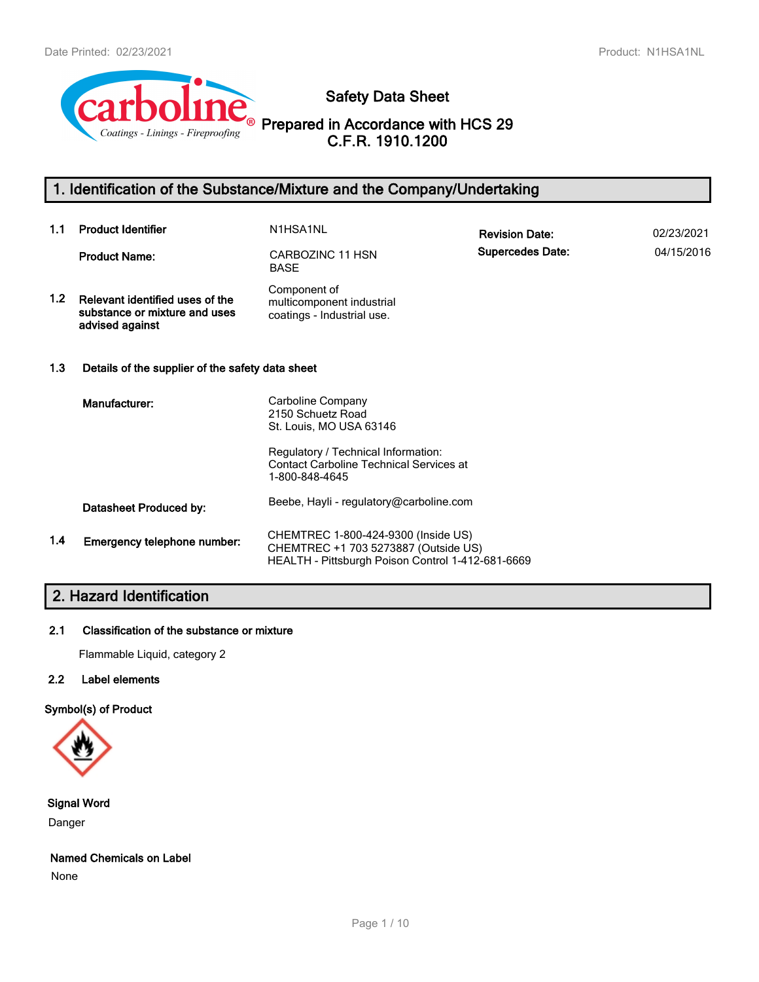

**Safety Data Sheet**

**Prepared in Accordance with HCS 29 C.F.R. 1910.1200**

# **1. Identification of the Substance/Mixture and the Company/Undertaking**

| 1.1              | <b>Product Identifier</b>                                                           | N1HSA1NL                                                                                                                                                   | <b>Revision Date:</b>   | 02/23/2021 |
|------------------|-------------------------------------------------------------------------------------|------------------------------------------------------------------------------------------------------------------------------------------------------------|-------------------------|------------|
|                  | <b>Product Name:</b>                                                                | CARBOZINC 11 HSN<br><b>BASE</b>                                                                                                                            | <b>Supercedes Date:</b> | 04/15/2016 |
| 1.2 <sub>1</sub> | Relevant identified uses of the<br>substance or mixture and uses<br>advised against | Component of<br>multicomponent industrial<br>coatings - Industrial use.                                                                                    |                         |            |
| 1.3              | Details of the supplier of the safety data sheet                                    |                                                                                                                                                            |                         |            |
|                  | Manufacturer:                                                                       | Carboline Company<br>2150 Schuetz Road<br>St. Louis, MO USA 63146<br>Regulatory / Technical Information:<br><b>Contact Carboline Technical Services at</b> |                         |            |
|                  |                                                                                     | 1-800-848-4645                                                                                                                                             |                         |            |
|                  | Datasheet Produced by:                                                              | Beebe, Hayli - regulatory@carboline.com                                                                                                                    |                         |            |
| 1.4              | Emergency telephone number:                                                         | CHEMTREC 1-800-424-9300 (Inside US)<br>CHEMTREC +1 703 5273887 (Outside US)<br>HEALTH - Pittsburgh Poison Control 1-412-681-6669                           |                         |            |

# **2. Hazard Identification**

#### **2.1 Classification of the substance or mixture**

Flammable Liquid, category 2

### **2.2 Label elements**

### **Symbol(s) of Product**



#### **Signal Word**

Danger

#### **Named Chemicals on Label**

None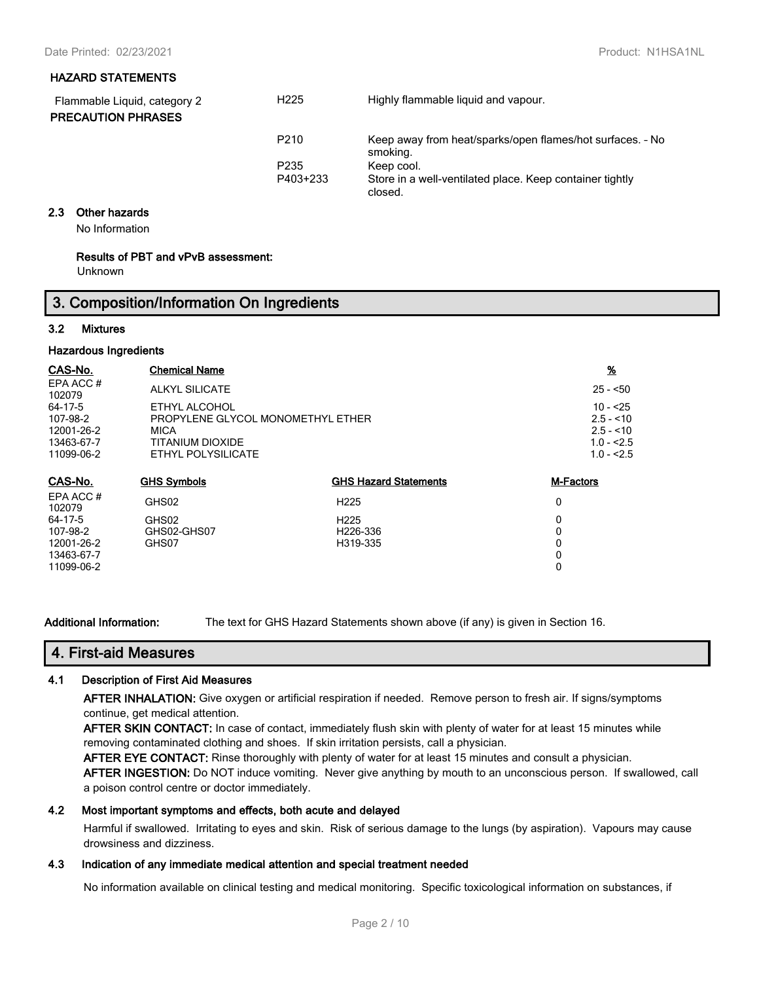#### **HAZARD STATEMENTS**

| Flammable Liquid, category 2<br><b>PRECAUTION PHRASES</b> | H <sub>225</sub> | Highly flammable liquid and vapour.                                   |
|-----------------------------------------------------------|------------------|-----------------------------------------------------------------------|
|                                                           | P <sub>210</sub> | Keep away from heat/sparks/open flames/hot surfaces. - No<br>smoking. |
|                                                           | P <sub>235</sub> | Keep cool.                                                            |
|                                                           | P403+233         | Store in a well-ventilated place. Keep container tightly<br>closed.   |

#### **2.3 Other hazards**

No Information

#### **Results of PBT and vPvB assessment:**

Unknown

# **3. Composition/Information On Ingredients**

#### **3.2 Mixtures**

#### **Hazardous Ingredients**

| CAS-No.            | <b>Chemical Name</b>              |                              | <u>%</u>         |
|--------------------|-----------------------------------|------------------------------|------------------|
| EPA ACC#<br>102079 | <b>ALKYL SILICATE</b>             |                              | $25 - 50$        |
| 64-17-5            | ETHYL ALCOHOL                     |                              | $10 - 25$        |
| 107-98-2           | PROPYLENE GLYCOL MONOMETHYL ETHER |                              | $2.5 - 10$       |
| 12001-26-2         | <b>MICA</b>                       |                              | $2.5 - 10$       |
| 13463-67-7         | TITANIUM DIOXIDE                  |                              | $1.0 - 2.5$      |
| 11099-06-2         | ETHYL POLYSILICATE                |                              | $1.0 - 2.5$      |
| CAS-No.            | <b>GHS Symbols</b>                | <b>GHS Hazard Statements</b> | <b>M-Factors</b> |
| EPA ACC#<br>102079 | GHS02                             | H <sub>225</sub>             | 0                |
| 64-17-5            | GHS02                             | H <sub>225</sub>             | 0                |
| 107-98-2           | GHS02-GHS07                       | H <sub>226</sub> -336        | 0                |
| 12001-26-2         | GHS07                             | H319-335                     | 0                |
| 13463-67-7         |                                   |                              | 0                |
| 11099-06-2         |                                   |                              | 0                |

**Additional Information:** The text for GHS Hazard Statements shown above (if any) is given in Section 16.

### **4. First-aid Measures**

#### **4.1 Description of First Aid Measures**

**AFTER INHALATION:** Give oxygen or artificial respiration if needed. Remove person to fresh air. If signs/symptoms continue, get medical attention.

**AFTER SKIN CONTACT:** In case of contact, immediately flush skin with plenty of water for at least 15 minutes while removing contaminated clothing and shoes. If skin irritation persists, call a physician.

**AFTER EYE CONTACT:** Rinse thoroughly with plenty of water for at least 15 minutes and consult a physician.

**AFTER INGESTION:** Do NOT induce vomiting. Never give anything by mouth to an unconscious person. If swallowed, call a poison control centre or doctor immediately.

#### **4.2 Most important symptoms and effects, both acute and delayed**

Harmful if swallowed. Irritating to eyes and skin. Risk of serious damage to the lungs (by aspiration). Vapours may cause drowsiness and dizziness.

#### **4.3 Indication of any immediate medical attention and special treatment needed**

No information available on clinical testing and medical monitoring. Specific toxicological information on substances, if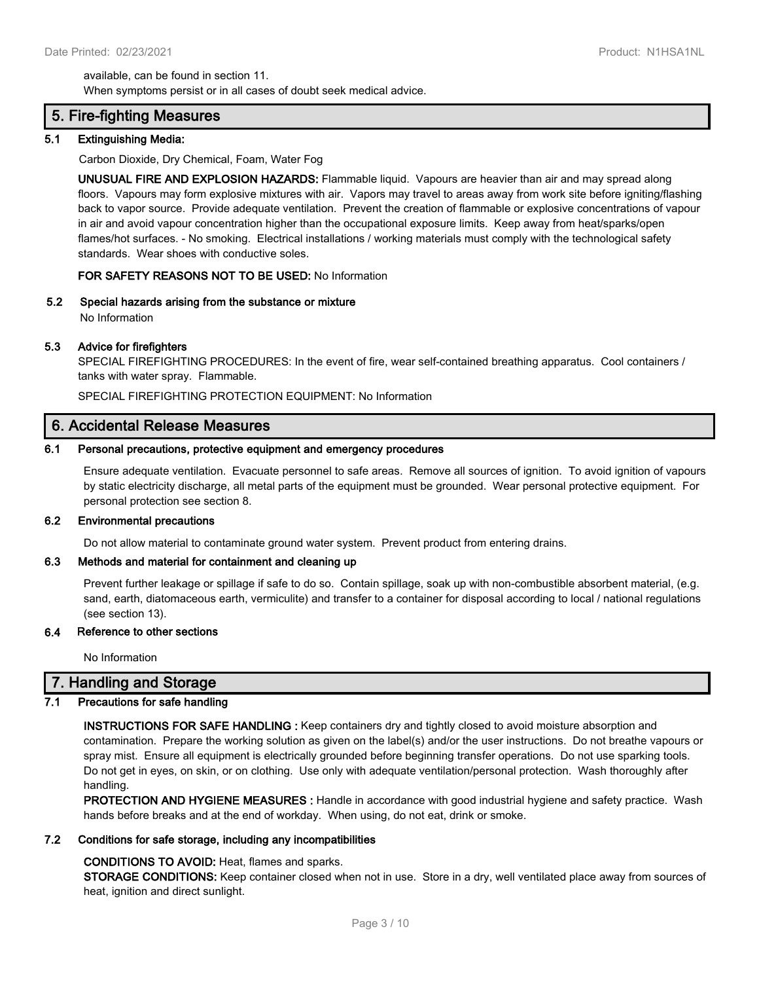available, can be found in section 11. When symptoms persist or in all cases of doubt seek medical advice.

## **5. Fire-fighting Measures**

#### **5.1 Extinguishing Media:**

Carbon Dioxide, Dry Chemical, Foam, Water Fog

**UNUSUAL FIRE AND EXPLOSION HAZARDS:** Flammable liquid. Vapours are heavier than air and may spread along floors. Vapours may form explosive mixtures with air. Vapors may travel to areas away from work site before igniting/flashing back to vapor source. Provide adequate ventilation. Prevent the creation of flammable or explosive concentrations of vapour in air and avoid vapour concentration higher than the occupational exposure limits. Keep away from heat/sparks/open flames/hot surfaces. - No smoking. Electrical installations / working materials must comply with the technological safety standards. Wear shoes with conductive soles.

#### **FOR SAFETY REASONS NOT TO BE USED:** No Information

#### **5.2 Special hazards arising from the substance or mixture**

No Information

#### **5.3 Advice for firefighters**

SPECIAL FIREFIGHTING PROCEDURES: In the event of fire, wear self-contained breathing apparatus. Cool containers / tanks with water spray. Flammable.

SPECIAL FIREFIGHTING PROTECTION EQUIPMENT: No Information

#### **6. Accidental Release Measures**

#### **6.1 Personal precautions, protective equipment and emergency procedures**

Ensure adequate ventilation. Evacuate personnel to safe areas. Remove all sources of ignition. To avoid ignition of vapours by static electricity discharge, all metal parts of the equipment must be grounded. Wear personal protective equipment. For personal protection see section 8.

#### **6.2 Environmental precautions**

Do not allow material to contaminate ground water system. Prevent product from entering drains.

#### **6.3 Methods and material for containment and cleaning up**

Prevent further leakage or spillage if safe to do so. Contain spillage, soak up with non-combustible absorbent material, (e.g. sand, earth, diatomaceous earth, vermiculite) and transfer to a container for disposal according to local / national regulations (see section 13).

#### **6.4 Reference to other sections**

No Information

### **7. Handling and Storage**

#### **7.1 Precautions for safe handling**

**INSTRUCTIONS FOR SAFE HANDLING :** Keep containers dry and tightly closed to avoid moisture absorption and contamination. Prepare the working solution as given on the label(s) and/or the user instructions. Do not breathe vapours or spray mist. Ensure all equipment is electrically grounded before beginning transfer operations. Do not use sparking tools. Do not get in eyes, on skin, or on clothing. Use only with adequate ventilation/personal protection. Wash thoroughly after handling.

**PROTECTION AND HYGIENE MEASURES :** Handle in accordance with good industrial hygiene and safety practice. Wash hands before breaks and at the end of workday. When using, do not eat, drink or smoke.

#### **7.2 Conditions for safe storage, including any incompatibilities**

#### **CONDITIONS TO AVOID:** Heat, flames and sparks.

**STORAGE CONDITIONS:** Keep container closed when not in use. Store in a dry, well ventilated place away from sources of heat, ignition and direct sunlight.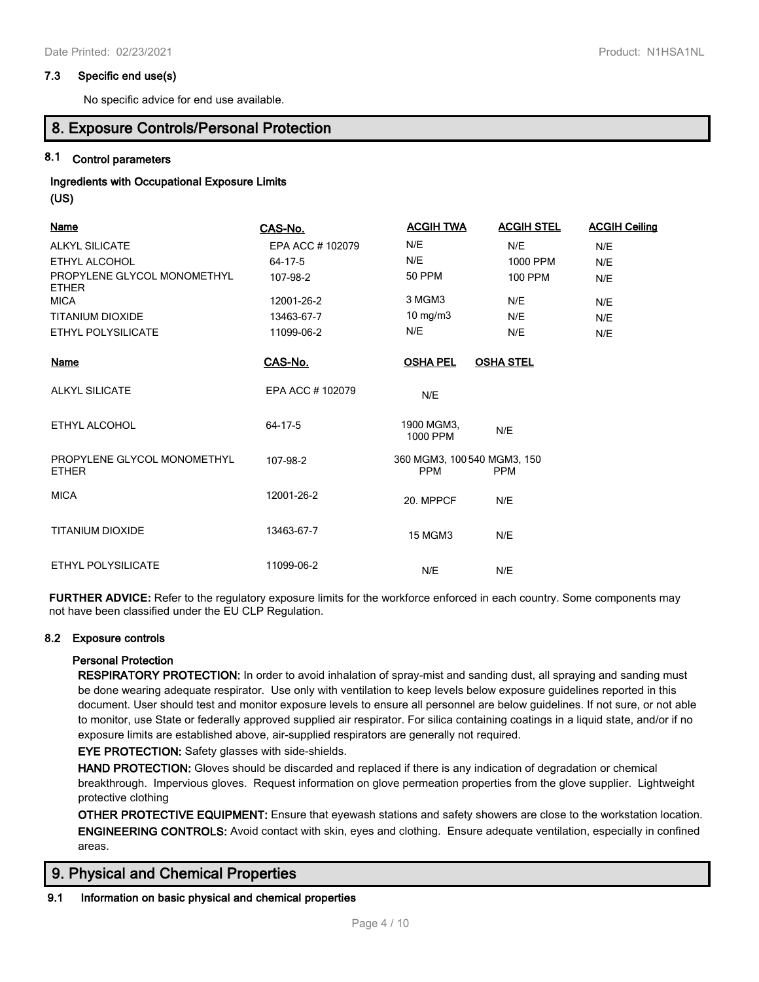#### **7.3 Specific end use(s)**

No specific advice for end use available.

**8. Exposure Controls/Personal Protection**

#### **8.1 Control parameters**

# **Ingredients with Occupational Exposure Limits**

**(US)**

| <b>Name</b>                                 | CAS-No.         | <b>ACGIH TWA</b>                          | <b>ACGIH STEL</b> | <b>ACGIH Ceiling</b> |
|---------------------------------------------|-----------------|-------------------------------------------|-------------------|----------------------|
| <b>ALKYL SILICATE</b>                       | EPA ACC #102079 | N/E                                       | N/E               | N/E                  |
| ETHYL ALCOHOL                               | 64-17-5         | N/E                                       | 1000 PPM          | N/E                  |
| PROPYLENE GLYCOL MONOMETHYL<br><b>ETHER</b> | 107-98-2        | <b>50 PPM</b>                             | <b>100 PPM</b>    | N/E                  |
| <b>MICA</b>                                 | 12001-26-2      | 3 MGM3                                    | N/E               | N/E                  |
| TITANIUM DIOXIDE                            | 13463-67-7      | $10$ mg/m $3$                             | N/E               | N/E                  |
| <b>ETHYL POLYSILICATE</b>                   | 11099-06-2      | N/E                                       | N/E               | N/E                  |
| <b>Name</b>                                 | CAS-No.         | <b>OSHA PEL</b>                           | <b>OSHA STEL</b>  |                      |
| <b>ALKYL SILICATE</b>                       | EPA ACC #102079 | N/E                                       |                   |                      |
| ETHYL ALCOHOL                               | 64-17-5         | 1900 MGM3,<br>1000 PPM                    | N/E               |                      |
| PROPYLENE GLYCOL MONOMETHYL<br><b>ETHER</b> | 107-98-2        | 360 MGM3, 100 540 MGM3, 150<br><b>PPM</b> | <b>PPM</b>        |                      |
| <b>MICA</b>                                 | 12001-26-2      | 20. MPPCF                                 | N/E               |                      |
| <b>TITANIUM DIOXIDE</b>                     | 13463-67-7      | <b>15 MGM3</b>                            | N/E               |                      |
| ETHYL POLYSILICATE                          | 11099-06-2      | N/E                                       | N/E               |                      |

**FURTHER ADVICE:** Refer to the regulatory exposure limits for the workforce enforced in each country. Some components may not have been classified under the EU CLP Regulation.

#### **8.2 Exposure controls**

#### **Personal Protection**

**RESPIRATORY PROTECTION:** In order to avoid inhalation of spray-mist and sanding dust, all spraying and sanding must be done wearing adequate respirator. Use only with ventilation to keep levels below exposure guidelines reported in this document. User should test and monitor exposure levels to ensure all personnel are below guidelines. If not sure, or not able to monitor, use State or federally approved supplied air respirator. For silica containing coatings in a liquid state, and/or if no exposure limits are established above, air-supplied respirators are generally not required.

**EYE PROTECTION:** Safety glasses with side-shields.

**HAND PROTECTION:** Gloves should be discarded and replaced if there is any indication of degradation or chemical breakthrough. Impervious gloves. Request information on glove permeation properties from the glove supplier. Lightweight protective clothing

**OTHER PROTECTIVE EQUIPMENT:** Ensure that eyewash stations and safety showers are close to the workstation location. **ENGINEERING CONTROLS:** Avoid contact with skin, eyes and clothing. Ensure adequate ventilation, especially in confined areas.

### **9. Physical and Chemical Properties**

#### **9.1 Information on basic physical and chemical properties**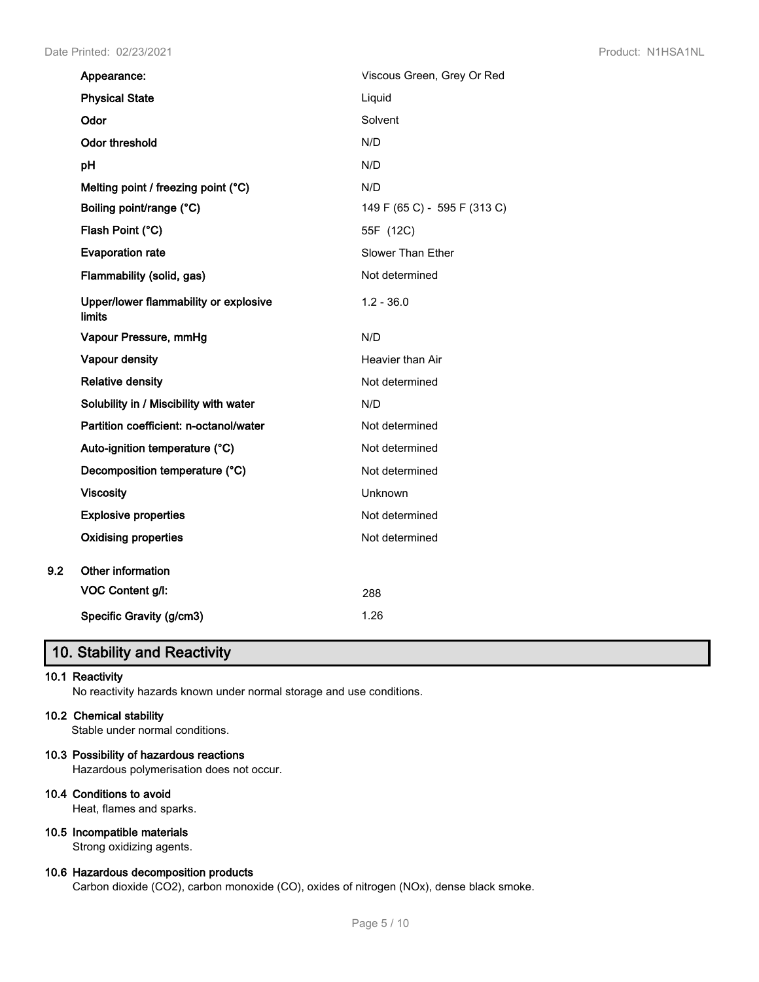|     | Appearance:                                     | Viscous Green, Grey Or Red   |
|-----|-------------------------------------------------|------------------------------|
|     | <b>Physical State</b>                           | Liquid                       |
|     | Odor                                            | Solvent                      |
|     | Odor threshold                                  | N/D                          |
|     | pH                                              | N/D                          |
|     | Melting point / freezing point (°C)             | N/D                          |
|     | Boiling point/range (°C)                        | 149 F (65 C) - 595 F (313 C) |
|     | Flash Point (°C)                                | 55F (12C)                    |
|     | <b>Evaporation rate</b>                         | Slower Than Ether            |
|     | Flammability (solid, gas)                       | Not determined               |
|     | Upper/lower flammability or explosive<br>limits | $1.2 - 36.0$                 |
|     | Vapour Pressure, mmHg                           | N/D                          |
|     | Vapour density                                  | Heavier than Air             |
|     | <b>Relative density</b>                         | Not determined               |
|     | Solubility in / Miscibility with water          | N/D                          |
|     | Partition coefficient: n-octanol/water          | Not determined               |
|     | Auto-ignition temperature (°C)                  | Not determined               |
|     | Decomposition temperature (°C)                  | Not determined               |
|     | <b>Viscosity</b>                                | <b>Unknown</b>               |
|     | <b>Explosive properties</b>                     | Not determined               |
|     | <b>Oxidising properties</b>                     | Not determined               |
| 9.2 | Other information                               |                              |
|     | <b>VOC Content g/l:</b>                         | 288                          |
|     | Specific Gravity (g/cm3)                        | 1.26                         |

# **10. Stability and Reactivity**

#### **10.1 Reactivity**

No reactivity hazards known under normal storage and use conditions.

#### **10.2 Chemical stability**

Stable under normal conditions.

#### **10.3 Possibility of hazardous reactions**

Hazardous polymerisation does not occur.

#### **10.4 Conditions to avoid**

Heat, flames and sparks.

#### **10.5 Incompatible materials**

Strong oxidizing agents.

#### **10.6 Hazardous decomposition products**

Carbon dioxide (CO2), carbon monoxide (CO), oxides of nitrogen (NOx), dense black smoke.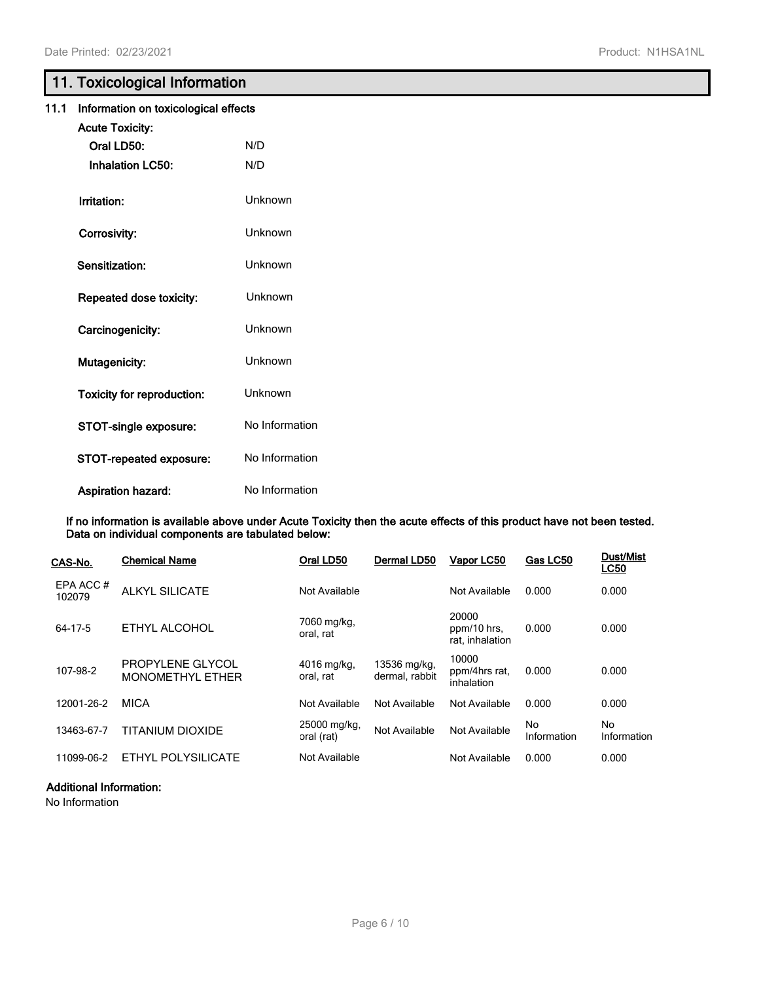# **11. Toxicological Information**

| 11.1 | Information on toxicological effects |                |
|------|--------------------------------------|----------------|
|      | <b>Acute Toxicity:</b>               |                |
|      | Oral LD50:                           | N/D            |
|      | <b>Inhalation LC50:</b>              | N/D            |
|      | Irritation:                          | Unknown        |
|      | Corrosivity:                         | Unknown        |
|      | Sensitization:                       | Unknown        |
|      | Repeated dose toxicity:              | Unknown        |
|      | Carcinogenicity:                     | Unknown        |
|      | Mutagenicity:                        | Unknown        |
|      | <b>Toxicity for reproduction:</b>    | Unknown        |
|      | STOT-single exposure:                | No Information |
|      | STOT-repeated exposure:              | No Information |
|      | <b>Aspiration hazard:</b>            | No Information |

**If no information is available above under Acute Toxicity then the acute effects of this product have not been tested. Data on individual components are tabulated below:**

| CAS-No.            | <b>Chemical Name</b>                        | Oral LD50                  | Dermal LD50                    | Vapor LC50                              | Gas LC50          | <b>Dust/Mist</b><br><b>LC50</b> |
|--------------------|---------------------------------------------|----------------------------|--------------------------------|-----------------------------------------|-------------------|---------------------------------|
| EPA ACC#<br>102079 | <b>ALKYL SILICATE</b>                       | Not Available              |                                | Not Available                           | 0.000             | 0.000                           |
| 64-17-5            | ETHYL ALCOHOL                               | 7060 mg/kg,<br>oral, rat   |                                | 20000<br>ppm/10 hrs.<br>rat. inhalation | 0.000             | 0.000                           |
| 107-98-2           | PROPYLENE GLYCOL<br><b>MONOMETHYL ETHER</b> | 4016 mg/kg,<br>oral, rat   | 13536 mg/kg,<br>dermal, rabbit | 10000<br>ppm/4hrs rat,<br>inhalation    | 0.000             | 0.000                           |
| 12001-26-2         | <b>MICA</b>                                 | Not Available              | Not Available                  | Not Available                           | 0.000             | 0.000                           |
| 13463-67-7         | <b>TITANIUM DIOXIDE</b>                     | 25000 mg/kg,<br>oral (rat) | Not Available                  | Not Available                           | No<br>Information | No<br>Information               |
| 11099-06-2         | ETHYL POLYSILICATE                          | Not Available              |                                | Not Available                           | 0.000             | 0.000                           |

#### **Additional Information:**

No Information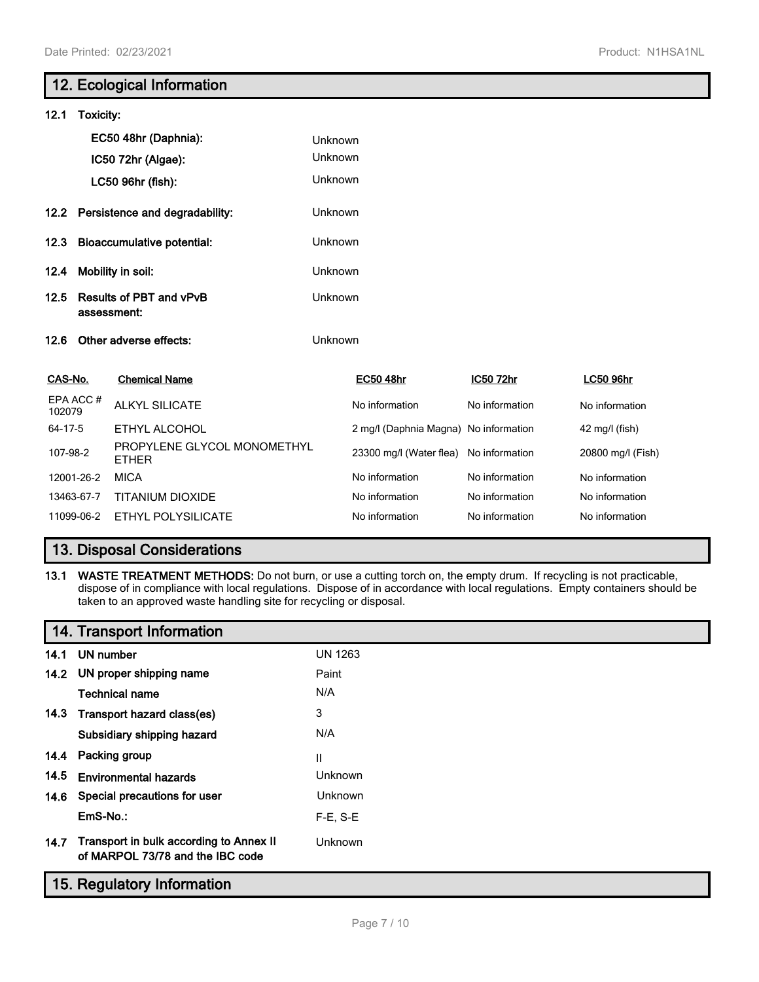# **12. Ecological Information 12.1 Toxicity: EC50 48hr (Daphnia):** Unknown **IC50 72hr (Algae):** Unknown **LC50 96hr (fish):** Unknown **12.2 Persistence and degradability:** Unknown **12.3 Bioaccumulative potential:** Unknown **12.4 Mobility in soil:** Unknown **12.5 Results of PBT and vPvB assessment:** Unknown **12.6 Other adverse effects:** Unknown **CAS-No. Chemical Name EC50 48hr IC50 72hr LC50 96hr** EPA ACC # LEA ACC<sup>#</sup> ALKYL SILICATE **No information** No information No information No information 64-17-5 ETHYL ALCOHOL 2 mg/l (Daphnia Magna) No information 42 mg/l (fish) 107-98-2 PROPYLENE GLYCOL MONOMETHYL 23300 mg/l (Water flea) No information 20800 mg/l (Fish) 12001-26-2 MICA No information No information No information 13463-67-7 TITANIUM DIOXIDE No information No information No information No information 11099-06-2 ETHYL POLYSILICATE No information No information No information No information

# **13. Disposal Considerations**

**13.1 WASTE TREATMENT METHODS:** Do not burn, or use a cutting torch on, the empty drum. If recycling is not practicable, dispose of in compliance with local regulations. Dispose of in accordance with local regulations. Empty containers should be taken to an approved waste handling site for recycling or disposal.

# **14. Transport Information**

| 14.1 | UN number                                                                   | UN 1263    |
|------|-----------------------------------------------------------------------------|------------|
|      | 14.2 UN proper shipping name                                                | Paint      |
|      | Technical name                                                              | N/A        |
| 14.3 | Transport hazard class(es)                                                  | 3          |
|      | Subsidiary shipping hazard                                                  | N/A        |
| 14.4 | Packing group                                                               | Ш          |
| 14.5 | Environmental hazards                                                       | Unknown    |
| 14.6 | Special precautions for user                                                | Unknown    |
|      | EmS-No.:                                                                    | $F-E. S-E$ |
| 14.7 | Transport in bulk according to Annex II<br>of MARPOL 73/78 and the IBC code | Unknown    |

## **15. Regulatory Information**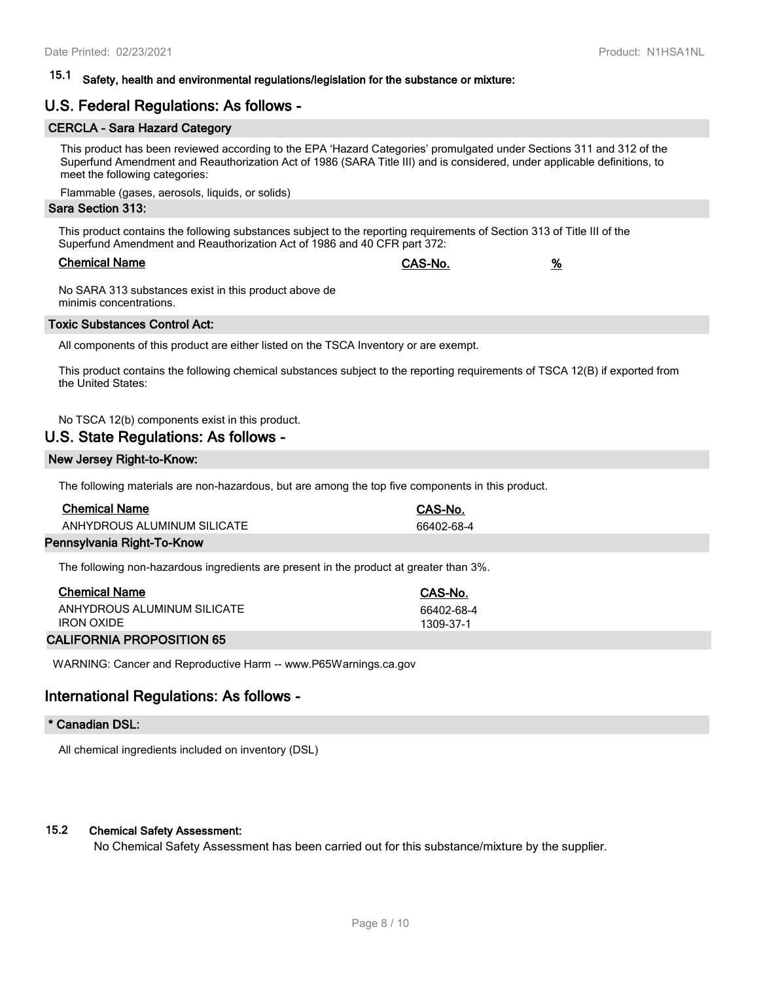# **15.1 Safety, health and environmental regulations/legislation for the substance or mixture:**

# **U.S. Federal Regulations: As follows -**

#### **CERCLA - Sara Hazard Category**

This product has been reviewed according to the EPA 'Hazard Categories' promulgated under Sections 311 and 312 of the Superfund Amendment and Reauthorization Act of 1986 (SARA Title III) and is considered, under applicable definitions, to meet the following categories:

Flammable (gases, aerosols, liquids, or solids)

#### **Sara Section 313:**

This product contains the following substances subject to the reporting requirements of Section 313 of Title III of the Superfund Amendment and Reauthorization Act of 1986 and 40 CFR part 372:

| <b>Chemical Name</b> | CAS-No. | % |
|----------------------|---------|---|
|                      |         |   |

No SARA 313 substances exist in this product above de minimis concentrations.

#### **Toxic Substances Control Act:**

All components of this product are either listed on the TSCA Inventory or are exempt.

This product contains the following chemical substances subject to the reporting requirements of TSCA 12(B) if exported from the United States:

No TSCA 12(b) components exist in this product.

#### **U.S. State Regulations: As follows -**

#### **New Jersey Right-to-Know:**

The following materials are non-hazardous, but are among the top five components in this product.

| <b>Chemical Name</b>        | CAS-No.    |
|-----------------------------|------------|
| ANHYDROUS ALUMINUM SILICATE | 66402-68-4 |
|                             |            |

#### **Pennsylvania Right-To-Know**

The following non-hazardous ingredients are present in the product at greater than 3%.

| <b>Chemical Name</b>        | CAS-No.    |
|-----------------------------|------------|
| ANHYDROUS ALUMINUM SILICATE | 66402-68-4 |
| <b>IRON OXIDE</b>           | 1309-37-1  |

#### **CALIFORNIA PROPOSITION 65**

WARNING: Cancer and Reproductive Harm -- www.P65Warnings.ca.gov

#### **International Regulations: As follows -**

#### **\* Canadian DSL:**

All chemical ingredients included on inventory (DSL)

#### **15.2 Chemical Safety Assessment:**

No Chemical Safety Assessment has been carried out for this substance/mixture by the supplier.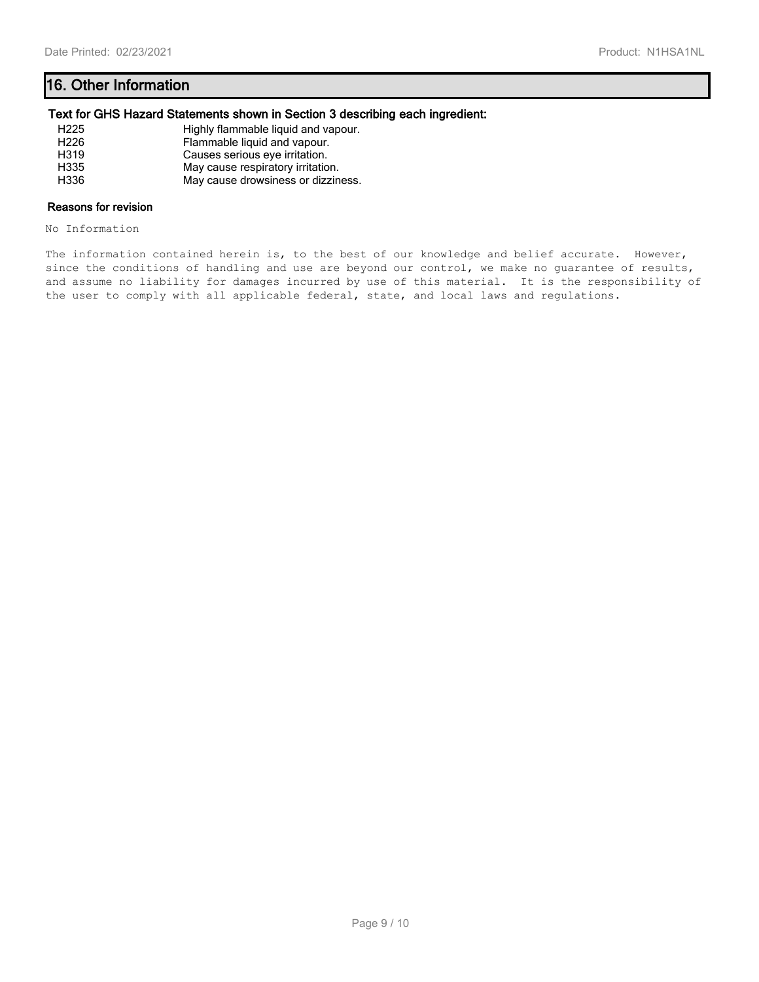# **16. Other Information**

#### **Text for GHS Hazard Statements shown in Section 3 describing each ingredient:**

| H225             | Highly flammable liquid and vapour. |
|------------------|-------------------------------------|
| H <sub>226</sub> | Flammable liquid and vapour.        |
| H319             | Causes serious eye irritation.      |
| H335             | May cause respiratory irritation.   |
| H336             | May cause drowsiness or dizziness.  |

#### **Reasons for revision**

No Information

The information contained herein is, to the best of our knowledge and belief accurate. However, since the conditions of handling and use are beyond our control, we make no guarantee of results, and assume no liability for damages incurred by use of this material. It is the responsibility of the user to comply with all applicable federal, state, and local laws and regulations.